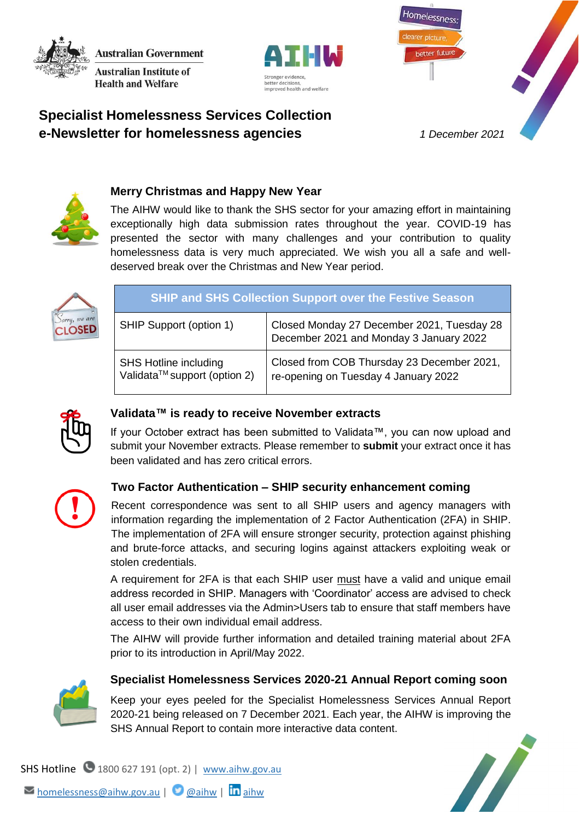**Australian Government Australian Institute of Health and Welfare** 





Homelessness

better future



## **Merry Christmas and Happy New Year**

The AIHW would like to thank the SHS sector for your amazing effort in maintaining exceptionally high data submission rates throughout the year. COVID-19 has presented the sector with many challenges and your contribution to quality homelessness data is very much appreciated. We wish you all a safe and welldeserved break over the Christmas and New Year period.



| <b>SHIP and SHS Collection Support over the Festive Season</b>           |                                                                                       |  |  |
|--------------------------------------------------------------------------|---------------------------------------------------------------------------------------|--|--|
| SHIP Support (option 1)                                                  | Closed Monday 27 December 2021, Tuesday 28<br>December 2021 and Monday 3 January 2022 |  |  |
| <b>SHS Hotline including</b><br>Validata <sup>™</sup> support (option 2) | Closed from COB Thursday 23 December 2021,<br>re-opening on Tuesday 4 January 2022    |  |  |



### **Validata™ is ready to receive November extracts**

If your October extract has been submitted to Validata™, you can now upload and submit your November extracts. Please remember to **submit** your extract once it has been validated and has zero critical errors.



# **Two Factor Authentication – SHIP security enhancement coming**

Recent correspondence was sent to all SHIP users and agency managers with information regarding the implementation of 2 Factor Authentication (2FA) in SHIP. The implementation of 2FA will ensure stronger security, protection against phishing and brute-force attacks, and securing logins against attackers exploiting weak or stolen credentials.

A requirement for 2FA is that each SHIP user must have a valid and unique email address recorded in SHIP. Managers with 'Coordinator' access are advised to check all user email addresses via the Admin>Users tab to ensure that staff members have access to their own individual email address.

The AIHW will provide further information and detailed training material about 2FA prior to its introduction in April/May 2022.



### **Specialist Homelessness Services 2020-21 Annual Report coming soon**

Keep your eyes peeled for the Specialist Homelessness Services Annual Report 2020-21 being released on 7 December 2021. Each year, the AIHW is improving the SHS Annual Report to contain more interactive data content.



SHS Hotline  $\bigcirc$  1800 627 191 (opt. 2) | [www.aihw.gov.au](http://www.aihw.gov.au/)

Momelessness[@aihw](https://twitter.com/aihw).gov.au | **@**[aihw](https://www.linkedin.com/company/australian-institute-of-health-and-welfare/) | **in** aihw